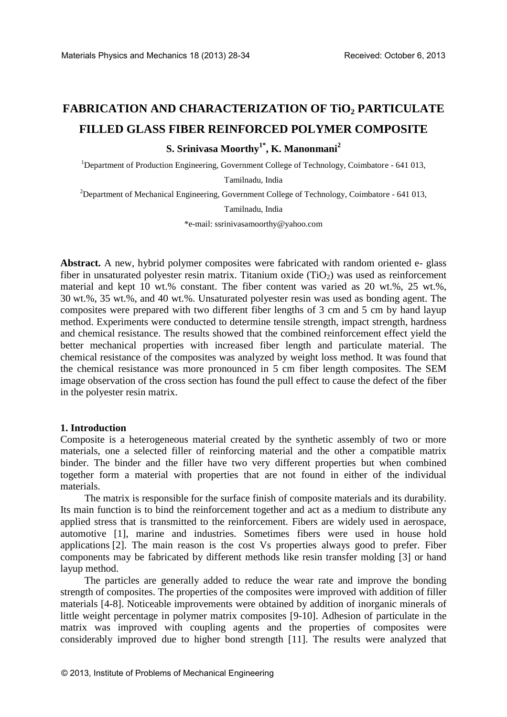# **FABRICATION AND CHARACTERIZATION OF TiO2 PARTICULATE FILLED GLASS FIBER REINFORCED POLYMER COMPOSITE**

## **S. Srinivasa Moorthy1\*, K. Manonmani<sup>2</sup>**

<sup>1</sup>Department of Production Engineering, Government College of Technology, Coimbatore - 641 013,

Tamilnadu, India

<sup>2</sup>Department of Mechanical Engineering, Government College of Technology, Coimbatore - 641 013,

Tamilnadu, India

\*e-mail: [ssrinivasamoorthy@yahoo.com](mailto:ssrinivasamoorthy@yahoo.com)

Abstract. A new, hybrid polymer composites were fabricated with random oriented e- glass fiber in unsaturated polyester resin matrix. Titanium oxide  $(TiO<sub>2</sub>)$  was used as reinforcement material and kept 10 wt.% constant. The fiber content was varied as 20 wt.%, 25 wt.%, 30 wt.%, 35 wt.%, and 40 wt.%. Unsaturated polyester resin was used as bonding agent. The composites were prepared with two different fiber lengths of 3 cm and 5 cm by hand layup method. Experiments were conducted to determine tensile strength, impact strength, hardness and chemical resistance. The results showed that the combined reinforcement effect yield the better mechanical properties with increased fiber length and particulate material. The chemical resistance of the composites was analyzed by weight loss method. It was found that the chemical resistance was more pronounced in 5 cm fiber length composites. The SEM image observation of the cross section has found the pull effect to cause the defect of the fiber in the polyester resin matrix.

#### **1. Introduction**

Composite is a heterogeneous material created by the synthetic assembly of two or more materials, one a selected filler of reinforcing material and the other a compatible matrix binder. The binder and the filler have two very different properties but when combined together form a material with properties that are not found in either of the individual materials.

The matrix is responsible for the surface finish of composite materials and its durability. Its main function is to bind the reinforcement together and act as a medium to distribute any applied stress that is transmitted to the reinforcement. Fibers are widely used in aerospace, automotive [1], marine and industries. Sometimes fibers were used in house hold applications [2]. The main reason is the cost Vs properties always good to prefer. Fiber components may be fabricated by different methods like resin transfer molding [3] or hand layup method.

The particles are generally added to reduce the wear rate and improve the bonding strength of composites. The properties of the composites were improved with addition of filler materials [4-8]. Noticeable improvements were obtained by addition of inorganic minerals of little weight percentage in polymer matrix composites [9-10]. Adhesion of particulate in the matrix was improved with coupling agents and the properties of composites were considerably improved due to higher bond strength [11]. The results were analyzed that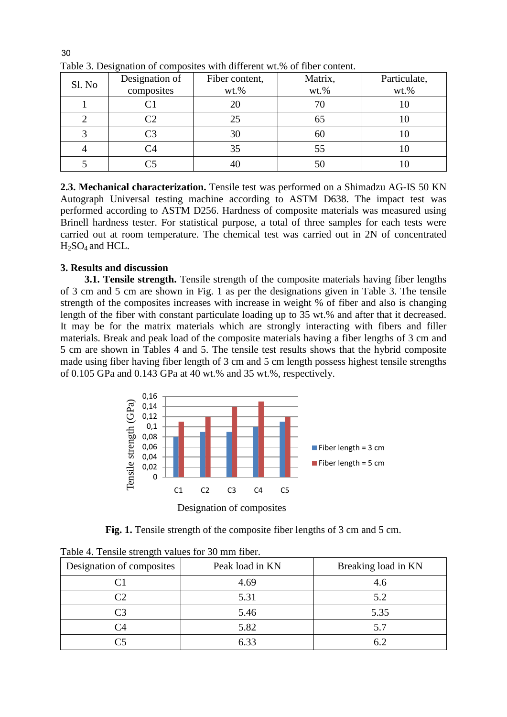| Sl. No | Designation of<br>composites | Fiber content,<br>$wt.$ % | Matrix,<br>$wt.$ % | Particulate,<br>$wt. \%$ |
|--------|------------------------------|---------------------------|--------------------|--------------------------|
|        |                              |                           | 70                 | 10                       |
|        | $\mathbb C2$                 | 25                        | 65                 | ΙU                       |
|        | C3                           | 30                        | 60                 | 10                       |
|        |                              | 35                        | 55                 | ГU                       |
|        |                              |                           | 50                 |                          |

Table 3. Designation of composites with different wt.% of fiber content.

**2.3. Mechanical characterization.** Tensile test was performed on a Shimadzu AG-IS 50 KN Autograph Universal testing machine according to ASTM D638. The impact test was performed according to ASTM D256. Hardness of composite materials was measured using Brinell hardness tester. For statistical purpose, a total of three samples for each tests were carried out at room temperature. The chemical test was carried out in 2N of concentrated  $H<sub>2</sub>SO<sub>4</sub>$  and HCL.

## **3. Results and discussion**

**3.1. Tensile strength.** Tensile strength of the composite materials having fiber lengths of 3 cm and 5 cm are shown in Fig. 1 as per the designations given in Table 3. The tensile strength of the composites increases with increase in weight % of fiber and also is changing length of the fiber with constant particulate loading up to 35 wt.% and after that it decreased. It may be for the matrix materials which are strongly interacting with fibers and filler materials. Break and peak load of the composite materials having a fiber lengths of 3 cm and 5 cm are shown in Tables 4 and 5. The tensile test results shows that the hybrid composite made using fiber having fiber length of 3 cm and 5 cm length possess highest tensile strengths of 0.105 GPa and 0.143 GPa at 40 wt.% and 35 wt.%, respectively.



Designation of composites

Fig. 1. Tensile strength of the composite fiber lengths of 3 cm and 5 cm.

| Designation of composites | Peak load in KN | Breaking load in KN |
|---------------------------|-----------------|---------------------|
|                           | 4.69            | 4.6                 |
| $\cap$                    | 5.31            | 5.2                 |
| ี่⊂่ว                     | 5.46            | 5.35                |
|                           | 5.82            | 5.7                 |
|                           | 6.33            | 6.2                 |

Table 4. Tensile strength values for 30 mm fiber.

30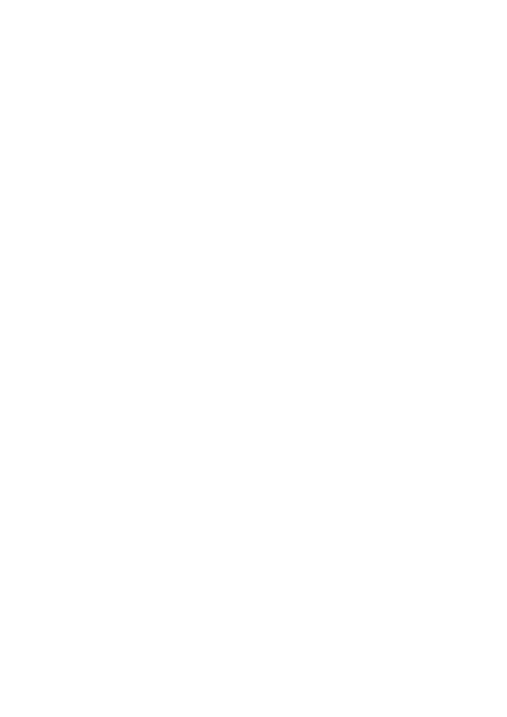#### FABRICATION AND CHARACTERIZATION OF TiO 2 PARTICULATE FILLED GLASS FIBER REINFORCED POLYMER COMPOSITE

S. Srinivasa Moorthy<sup>1\*</sup>, K. Manonmani<sup>2</sup>

<sup>1</sup>Department of Production Engineering, Government College of Technology, Coimbator1 03,

Tamilnadu, India

<sup>2</sup>Department of Mechanical Engineering, Government College of Technology, Coimbat641 03,

Tamilnadu, India

\*email: ssrinivasamoorthy@hoo.com

Abstract. A newhybrid polymer composites are fabricated ith random oriented e-glass fiber in unsaturated polyester resin matrix. Titanium oxide 6TiO used as reinforcement material and kpt 10w % onstant. The fiber content as varied as 20w  $\frac{9}{25}$  ty  $\frac{9}{6}$  $%$  and  $40x$  *M* saturated polyester resin as used as bonding agent. The  $30 \text{ w}$ .  $935 \text{ w}$ composites we prepared ith tw different fiber lengths of 3 cm and 5 cm by hand layup method. Experiments we conducted to determine tensile strength, impact strength, hardness and chemical resistance. The results showd that the combined reinforcement effect vield the better mechanical properties ith increased fiber length and particulate material. The chemical resistance of the composites as analyzed by wight loss method. It as found that the chemical resistance as more pronounced in 5 cm fiber length composites. The SEM image observation of the cross section has found the pull effect to cause the defect of the fiber in the polyester resin matrix.

#### 1. Introduction

Composite is a heterogeneous material created by the synthetic assembly of two r more materials, one a selected filler of reinforcing material and the other a compatible matrix binder. The binder and the filler have tw very different properties but hen combined together form a material ith properties that are not found in either of the individual materials.

The matrix is responsible for the surface finish of composite materials and its durability Its main function is to bind the reinforcement together and act as a medium to distribute any applied stress that is transmitted to the reinforcement. Fibers are idely used in aerospace, automotive [1] marine and industries. Sometimes fiber w re used in house hold applications? The main reason is the cost V properties always good to prefer. Fiber components may be fabricated by different methods lik resin transfer molding Blor hand layup method.

The particles are generally added to reduce the var rate and improve the bonding strengthof composites. The properties of the composites rejimproved the addition of filler materials **A** 3 ] Noticeable improvements are obtained by addition of inorganic minerals of little wight percentage in polymer matrix composites  $\mathfrak{B}0$  ] Adhesion of particulate in the matrix as improved ith coupling agents and the properties of composites are considerably improved due to higher bond strength I The results are analyzed that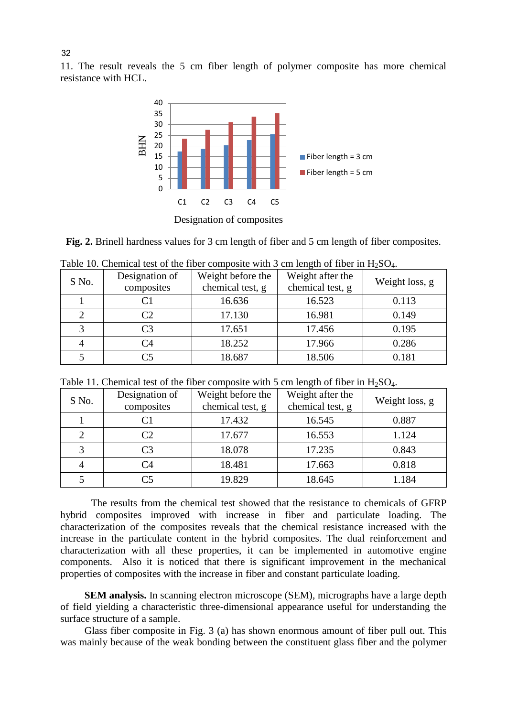11. The result reveals the 5 cm fiber length of polymer composite has more chemical resistance with HCL.



Designation of composites

**Fig. 2.** Brinell hardness values for 3 cm length of fiber and 5 cm length of fiber composites.

| S No. | Designation of<br>composites | Weight before the<br>chemical test, g | Weight after the<br>chemical test, g | Weight loss, g |
|-------|------------------------------|---------------------------------------|--------------------------------------|----------------|
|       |                              | 16.636                                | 16.523                               | 0.113          |
| 2     |                              | 17.130                                | 16.981                               | 0.149          |
| 3     | $\mathsf{C}^3$               | 17.651                                | 17.456                               | 0.195          |
|       | C4                           | 18.252                                | 17.966                               | 0.286          |
|       |                              | 18.687                                | 18.506                               | 0.181          |
|       |                              |                                       |                                      |                |

Table 10. Chemical test of the fiber composite with 3 cm length of fiber in  $H_2SO_4$ .

| Table 11. Chemical test of the fiber composite with 5 cm length of fiber in $H_2SO_4$ . |  |  |
|-----------------------------------------------------------------------------------------|--|--|
|-----------------------------------------------------------------------------------------|--|--|

| S No. | Designation of<br>composites | Weight before the<br>chemical test, g | Weight after the<br>chemical test, g | Weight loss, g |
|-------|------------------------------|---------------------------------------|--------------------------------------|----------------|
|       |                              | 17.432                                | 16.545                               | 0.887          |
| 2     | C2                           | 17.677                                | 16.553                               | 1.124          |
| 3     | C <sub>3</sub>               | 18.078                                | 17.235                               | 0.843          |
|       | C4                           | 18.481                                | 17.663                               | 0.818          |
|       |                              | 19.829                                | 18.645                               | 1.184          |

The results from the chemical test showed that the resistance to chemicals of GFRP hybrid composites improved with increase in fiber and particulate loading. The characterization of the composites reveals that the chemical resistance increased with the increase in the particulate content in the hybrid composites. The dual reinforcement and characterization with all these properties, it can be implemented in automotive engine components. Also it is noticed that there is significant improvement in the mechanical properties of composites with the increase in fiber and constant particulate loading.

**SEM analysis.** In scanning electron microscope (SEM), micrographs have a large [depth](http://en.wikipedia.org/wiki/Depth_of_field)  [of field](http://en.wikipedia.org/wiki/Depth_of_field) yielding a characteristic three-dimensional appearance useful for understanding the surface structure of a sample.

Glass fiber composite in Fig. 3 (a) has shown enormous amount of fiber pull out. This was mainly because of the weak bonding between the constituent glass fiber and the polymer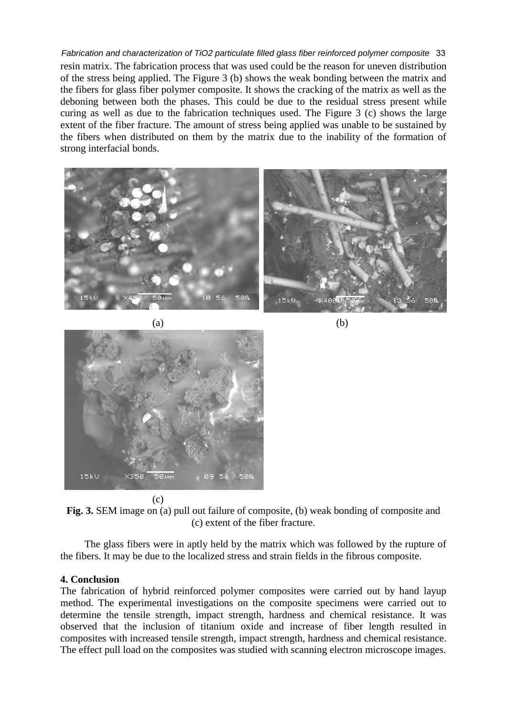resin matrix. The fabrication process that was used could be the reason for uneven distribution of the stress being applied. The Figure 3 (b) shows the weak bonding between the matrix and the fibers for glass fiber polymer composite. It shows the cracking of the matrix as well as the deboning between both the phases. This could be due to the residual stress present while curing as well as due to the fabrication techniques used. The Figure 3 (c) shows the large extent of the fiber fracture. The amount of stress being applied was unable to be sustained by the fibers when distributed on them by the matrix due to the inability of the formation of strong interfacial bonds. *Fabrication and characterization of TiO2 particulate filled glass fiber reinforced polymer composite* 33





 $(c)$ 

**Fig. 3.** SEM image on (a) pull out failure of composite, (b) weak bonding of composite and (c) extent of the fiber fracture.

The glass fibers were in aptly held by the matrix which was followed by the rupture of the fibers. It may be due to the localized stress and strain fields in the fibrous composite.

### **4. Conclusion**

The fabrication of hybrid reinforced polymer composites were carried out by hand layup method. The experimental investigations on the composite specimens were carried out to determine the tensile strength, impact strength, hardness and chemical resistance. It was observed that the inclusion of titanium oxide and increase of fiber length resulted in composites with increased tensile strength, impact strength, hardness and chemical resistance. The effect pull load on the composites was studied with scanning electron microscope images.